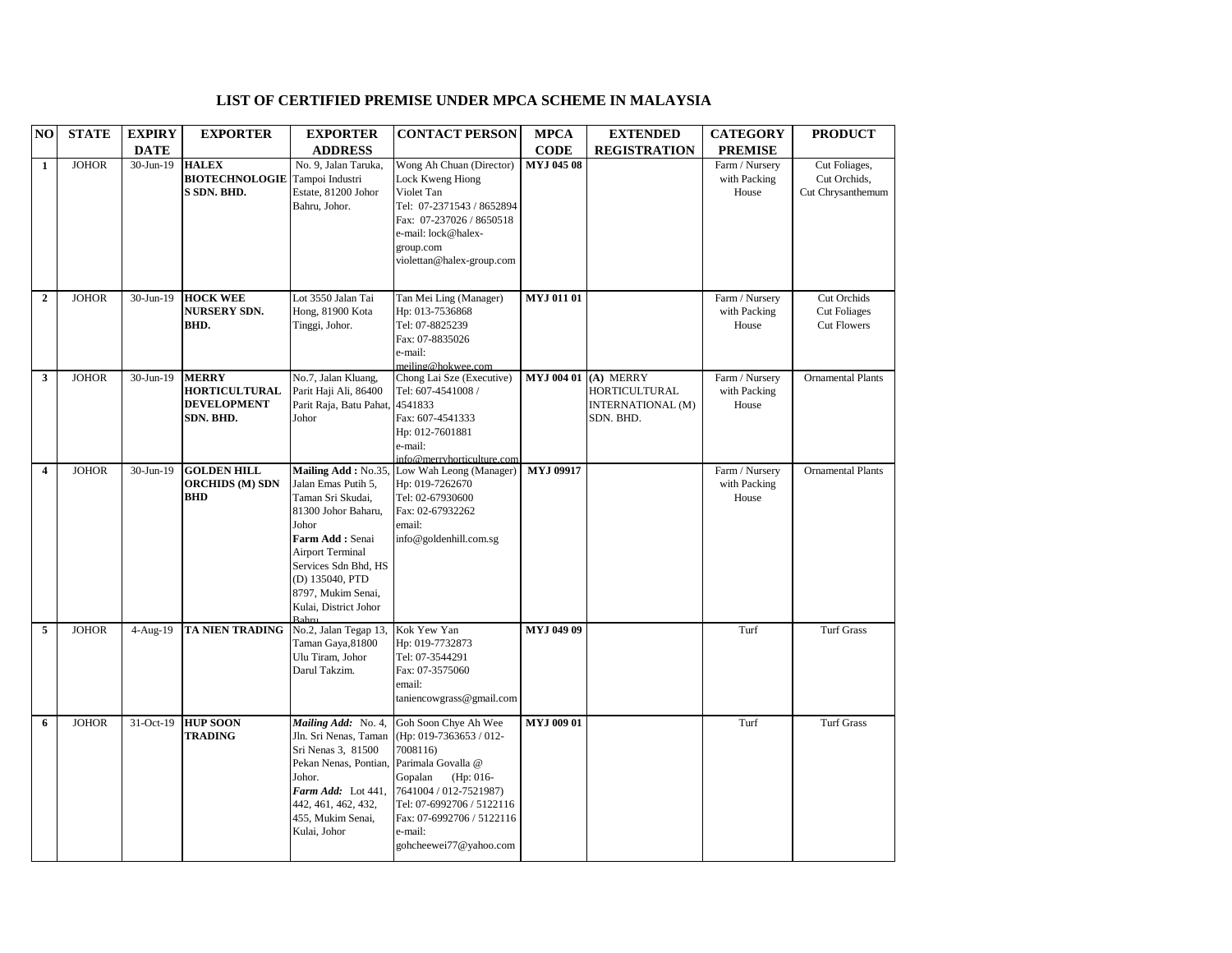| NO                      | <b>STATE</b> | <b>EXPIRY</b> | <b>EXPORTER</b>                                                         | <b>EXPORTER</b>                                                                                                                                                                                                                           | <b>CONTACT PERSON</b>                                                                                                                                                                                                                | <b>MPCA</b>       | <b>EXTENDED</b>                                              | <b>CATEGORY</b>                         | <b>PRODUCT</b>                                           |
|-------------------------|--------------|---------------|-------------------------------------------------------------------------|-------------------------------------------------------------------------------------------------------------------------------------------------------------------------------------------------------------------------------------------|--------------------------------------------------------------------------------------------------------------------------------------------------------------------------------------------------------------------------------------|-------------------|--------------------------------------------------------------|-----------------------------------------|----------------------------------------------------------|
|                         |              | <b>DATE</b>   |                                                                         | <b>ADDRESS</b>                                                                                                                                                                                                                            |                                                                                                                                                                                                                                      | <b>CODE</b>       | <b>REGISTRATION</b>                                          | <b>PREMISE</b>                          |                                                          |
| $\mathbf{1}$            | <b>JOHOR</b> | $30-J$ un-19  | <b>HALEX</b><br><b>BIOTECHNOLOGIE</b> Tampoi Industri<br>S SDN. BHD.    | No. 9, Jalan Taruka,<br>Estate, 81200 Johor<br>Bahru, Johor.                                                                                                                                                                              | Wong Ah Chuan (Director)<br>Lock Kweng Hiong<br>Violet Tan<br>Tel: 07-2371543 / 8652894<br>Fax: 07-237026 / 8650518<br>e-mail: lock@halex-<br>group.com<br>violettan@halex-group.com                                                 | <b>MYJ 045 08</b> |                                                              | Farm / Nursery<br>with Packing<br>House | Cut Foliages,<br>Cut Orchids,<br>Cut Chrysanthemum       |
| $\boldsymbol{2}$        | <b>JOHOR</b> | $30$ -Jun-19  | <b>HOCK WEE</b><br><b>NURSERY SDN.</b><br>BHD.                          | Lot 3550 Jalan Tai<br>Hong, 81900 Kota<br>Tinggi, Johor.                                                                                                                                                                                  | Tan Mei Ling (Manager)<br>Hp: 013-7536868<br>Tel: 07-8825239<br>Fax: 07-8835026<br>e-mail:<br>meiling@hokwee.com                                                                                                                     | <b>MYJ 011 01</b> |                                                              | Farm / Nursery<br>with Packing<br>House | Cut Orchids<br><b>Cut Foliages</b><br><b>Cut Flowers</b> |
| 3                       | <b>JOHOR</b> | 30-Jun-19     | <b>MERRY</b><br><b>HORTICULTURAL</b><br><b>DEVELOPMENT</b><br>SDN. BHD. | No.7, Jalan Kluang,<br>Parit Haji Ali, 86400<br>Parit Raja, Batu Pahat,<br>Johor                                                                                                                                                          | Chong Lai Sze (Executive)<br>Tel: 607-4541008 /<br>4541833<br>Fax: 607-4541333<br>Hp: 012-7601881<br>e-mail:<br>info@merryhorticulture.com                                                                                           | <b>MYJ 004 01</b> | (A) MERRY<br>HORTICULTURAL<br>INTERNATIONAL (M)<br>SDN. BHD. | Farm / Nursery<br>with Packing<br>House | <b>Ornamental Plants</b>                                 |
| $\overline{\mathbf{4}}$ | <b>JOHOR</b> | 30-Jun-19     | <b>GOLDEN HILL</b><br><b>ORCHIDS</b> (M) SDN<br><b>BHD</b>              | Mailing Add: No.35.<br>Jalan Emas Putih 5,<br>Taman Sri Skudai,<br>81300 Johor Baharu,<br>Johor<br>Farm Add: Senai<br>Airport Terminal<br>Services Sdn Bhd, HS<br>(D) 135040, PTD<br>8797, Mukim Senai,<br>Kulai, District Johor<br>Rahru | Low Wah Leong (Manager)<br>Hp: 019-7262670<br>Tel: 02-67930600<br>Fax: 02-67932262<br>email:<br>info@goldenhill.com.sg                                                                                                               | MYJ 09917         |                                                              | Farm / Nursery<br>with Packing<br>House | <b>Ornamental Plants</b>                                 |
| 5                       | <b>JOHOR</b> | $4-Aug-19$    | <b>TA NIEN TRADING</b>                                                  | No.2, Jalan Tegap 13.<br>Taman Gaya, 81800<br>Ulu Tiram, Johor<br>Darul Takzim.                                                                                                                                                           | Kok Yew Yan<br>Hp: 019-7732873<br>Tel: 07-3544291<br>Fax: 07-3575060<br>email:<br>taniencowgrass@gmail.com                                                                                                                           | MYJ 049 09        |                                                              | Turf                                    | <b>Turf Grass</b>                                        |
| 6                       | <b>JOHOR</b> | 31-Oct-19     | <b>HUP SOON</b><br><b>TRADING</b>                                       | Mailing Add: No. 4,<br>Jln. Sri Nenas, Taman<br>Sri Nenas 3, 81500<br>Pekan Nenas, Pontian,<br>Johor.<br>Farm Add: Lot 441,<br>442, 461, 462, 432,<br>455, Mukim Senai,<br>Kulai, Johor                                                   | Goh Soon Chye Ah Wee<br>(Hp: 019-7363653 / 012-<br>7008116)<br>Parimala Govalla @<br>Gopalan<br>$(Hp: 016-$<br>7641004 / 012-7521987)<br>Tel: 07-6992706 / 5122116<br>Fax: 07-6992706 / 5122116<br>e-mail:<br>gohcheewei77@yahoo.com | <b>MYJ 009 01</b> |                                                              | Turf                                    | <b>Turf Grass</b>                                        |

## **LIST OF CERTIFIED PREMISE UNDER MPCA SCHEME IN MALAYSIA**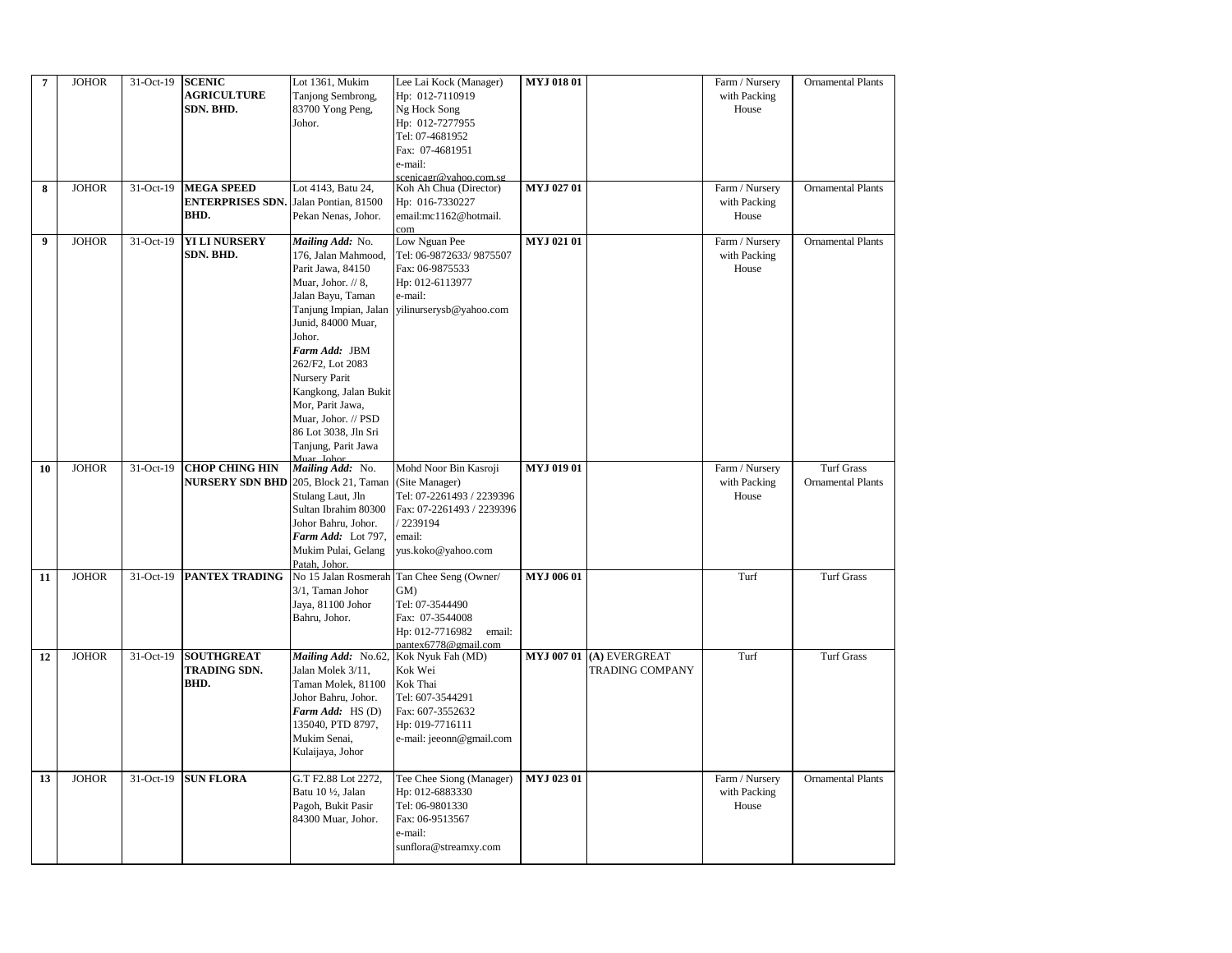| $\overline{7}$   | <b>JOHOR</b> | $31-Oct-19$ | <b>SCENIC</b>            | Lot 1361, Mukim       | Lee Lai Kock (Manager)                     | MYJ 01801         |                        | Farm / Nursery | <b>Ornamental Plants</b> |
|------------------|--------------|-------------|--------------------------|-----------------------|--------------------------------------------|-------------------|------------------------|----------------|--------------------------|
|                  |              |             | <b>AGRICULTURE</b>       | Tanjong Sembrong,     | Hp: 012-7110919                            |                   |                        | with Packing   |                          |
|                  |              |             | SDN. BHD.                | 83700 Yong Peng,      | Ng Hock Song                               |                   |                        | House          |                          |
|                  |              |             |                          | Johor.                | Hp: 012-7277955                            |                   |                        |                |                          |
|                  |              |             |                          |                       |                                            |                   |                        |                |                          |
|                  |              |             |                          |                       | Tel: 07-4681952                            |                   |                        |                |                          |
|                  |              |             |                          |                       | Fax: 07-4681951                            |                   |                        |                |                          |
|                  |              |             |                          |                       | e-mail:                                    |                   |                        |                |                          |
|                  |              |             |                          |                       | scenicagr@vahoo.com.sg                     |                   |                        |                |                          |
| 8                | <b>JOHOR</b> | 31-Oct-19   | <b>MEGA SPEED</b>        | Lot 4143, Batu 24,    | Koh Ah Chua (Director)                     | MYJ 027 01        |                        | Farm / Nursery | <b>Ornamental Plants</b> |
|                  |              |             | ENTERPRISES SDN.         | Jalan Pontian, 81500  | Hp: 016-7330227                            |                   |                        | with Packing   |                          |
|                  |              |             | BHD.                     | Pekan Nenas, Johor.   | email:mc1162@hotmail.                      |                   |                        | House          |                          |
|                  |              |             |                          |                       | com                                        |                   |                        |                |                          |
| $\boldsymbol{9}$ | <b>JOHOR</b> | 31-Oct-19   | <b>YI LI NURSERY</b>     | Mailing Add: No.      | Low Nguan Pee                              | MYJ 021 01        |                        | Farm / Nursery | <b>Ornamental Plants</b> |
|                  |              |             | SDN. BHD.                | 176, Jalan Mahmood,   | Tel: 06-9872633/ 9875507                   |                   |                        | with Packing   |                          |
|                  |              |             |                          | Parit Jawa, 84150     | Fax: 06-9875533                            |                   |                        | House          |                          |
|                  |              |             |                          | Muar, Johor. // 8,    | Hp: 012-6113977                            |                   |                        |                |                          |
|                  |              |             |                          | Jalan Bayu, Taman     | e-mail:                                    |                   |                        |                |                          |
|                  |              |             |                          | Tanjung Impian, Jalan | yilinurserysb@yahoo.com                    |                   |                        |                |                          |
|                  |              |             |                          | Junid, 84000 Muar,    |                                            |                   |                        |                |                          |
|                  |              |             |                          | Johor.                |                                            |                   |                        |                |                          |
|                  |              |             |                          |                       |                                            |                   |                        |                |                          |
|                  |              |             |                          | Farm Add: JBM         |                                            |                   |                        |                |                          |
|                  |              |             |                          | 262/F2, Lot 2083      |                                            |                   |                        |                |                          |
|                  |              |             |                          | Nursery Parit         |                                            |                   |                        |                |                          |
|                  |              |             |                          | Kangkong, Jalan Bukit |                                            |                   |                        |                |                          |
|                  |              |             |                          | Mor, Parit Jawa,      |                                            |                   |                        |                |                          |
|                  |              |             |                          | Muar, Johor. // PSD   |                                            |                   |                        |                |                          |
|                  |              |             |                          | 86 Lot 3038, Jln Sri  |                                            |                   |                        |                |                          |
|                  |              |             |                          | Tanjung, Parit Jawa   |                                            |                   |                        |                |                          |
|                  |              |             |                          | Muar Iohor            |                                            |                   |                        |                |                          |
| 10               | <b>JOHOR</b> | 31-Oct-19   | <b>CHOP CHING HIN</b>    | Mailing Add: No.      | Mohd Noor Bin Kasroji                      | MYJ 019 01        |                        | Farm / Nursery | <b>Turf Grass</b>        |
|                  |              |             | <b>NURSERY SDN BHD</b>   | 205, Block 21, Taman  | (Site Manager)                             |                   |                        | with Packing   | <b>Ornamental Plants</b> |
|                  |              |             |                          | Stulang Laut, Jln     | Tel: 07-2261493 / 2239396                  |                   |                        | House          |                          |
|                  |              |             |                          | Sultan Ibrahim 80300  | Fax: 07-2261493 / 2239396                  |                   |                        |                |                          |
|                  |              |             |                          | Johor Bahru, Johor.   | /2239194                                   |                   |                        |                |                          |
|                  |              |             |                          | Farm Add: Lot 797,    | email:                                     |                   |                        |                |                          |
|                  |              |             |                          | Mukim Pulai, Gelang   | yus.koko@yahoo.com                         |                   |                        |                |                          |
|                  |              |             |                          | Patah, Johor.         |                                            |                   |                        |                |                          |
| 11               | <b>JOHOR</b> |             | 31-Oct-19 PANTEX TRADING |                       | No 15 Jalan Rosmerah Tan Chee Seng (Owner/ | <b>MYJ 006 01</b> |                        | Turf           | <b>Turf Grass</b>        |
|                  |              |             |                          | 3/1, Taman Johor      | GM)                                        |                   |                        |                |                          |
|                  |              |             |                          | Jaya, 81100 Johor     | Tel: 07-3544490                            |                   |                        |                |                          |
|                  |              |             |                          |                       |                                            |                   |                        |                |                          |
|                  |              |             |                          | Bahru, Johor.         | Fax: 07-3544008                            |                   |                        |                |                          |
|                  |              |             |                          |                       | Hp: 012-7716982 email:                     |                   |                        |                |                          |
|                  |              |             |                          |                       | pantex6778@gmail.com                       |                   |                        |                |                          |
| 12               | <b>JOHOR</b> | 31-Oct-19   | <b>SOUTHGREAT</b>        | Mailing Add: No.62,   | Kok Nyuk Fah (MD)                          | <b>MYJ 007 01</b> | (A) EVERGREAT          | Turf           | <b>Turf Grass</b>        |
|                  |              |             | TRADING SDN.             | Jalan Molek 3/11,     | Kok Wei                                    |                   | <b>TRADING COMPANY</b> |                |                          |
|                  |              |             | BHD.                     | Taman Molek, 81100    | Kok Thai                                   |                   |                        |                |                          |
|                  |              |             |                          | Johor Bahru, Johor.   | Tel: 607-3544291                           |                   |                        |                |                          |
|                  |              |             |                          | Farm Add: HS (D)      | Fax: 607-3552632                           |                   |                        |                |                          |
|                  |              |             |                          | 135040, PTD 8797,     | Hp: 019-7716111                            |                   |                        |                |                          |
|                  |              |             |                          | Mukim Senai,          | e-mail: jeeonn@gmail.com                   |                   |                        |                |                          |
|                  |              |             |                          | Kulaijaya, Johor      |                                            |                   |                        |                |                          |
|                  |              |             |                          |                       |                                            |                   |                        |                |                          |
| 13               | <b>JOHOR</b> | 31-Oct-19   | <b>SUN FLORA</b>         | G.T F2.88 Lot 2272,   | Tee Chee Siong (Manager)                   | MYJ 023 01        |                        | Farm / Nursery | <b>Ornamental Plants</b> |
|                  |              |             |                          | Batu 10 1/2, Jalan    | Hp: 012-6883330                            |                   |                        | with Packing   |                          |
|                  |              |             |                          | Pagoh, Bukit Pasir    | Tel: 06-9801330                            |                   |                        | House          |                          |
|                  |              |             |                          | 84300 Muar, Johor.    | Fax: 06-9513567                            |                   |                        |                |                          |
|                  |              |             |                          |                       | e-mail:                                    |                   |                        |                |                          |
|                  |              |             |                          |                       |                                            |                   |                        |                |                          |
|                  |              |             |                          |                       | sunflora@streamxy.com                      |                   |                        |                |                          |
|                  |              |             |                          |                       |                                            |                   |                        |                |                          |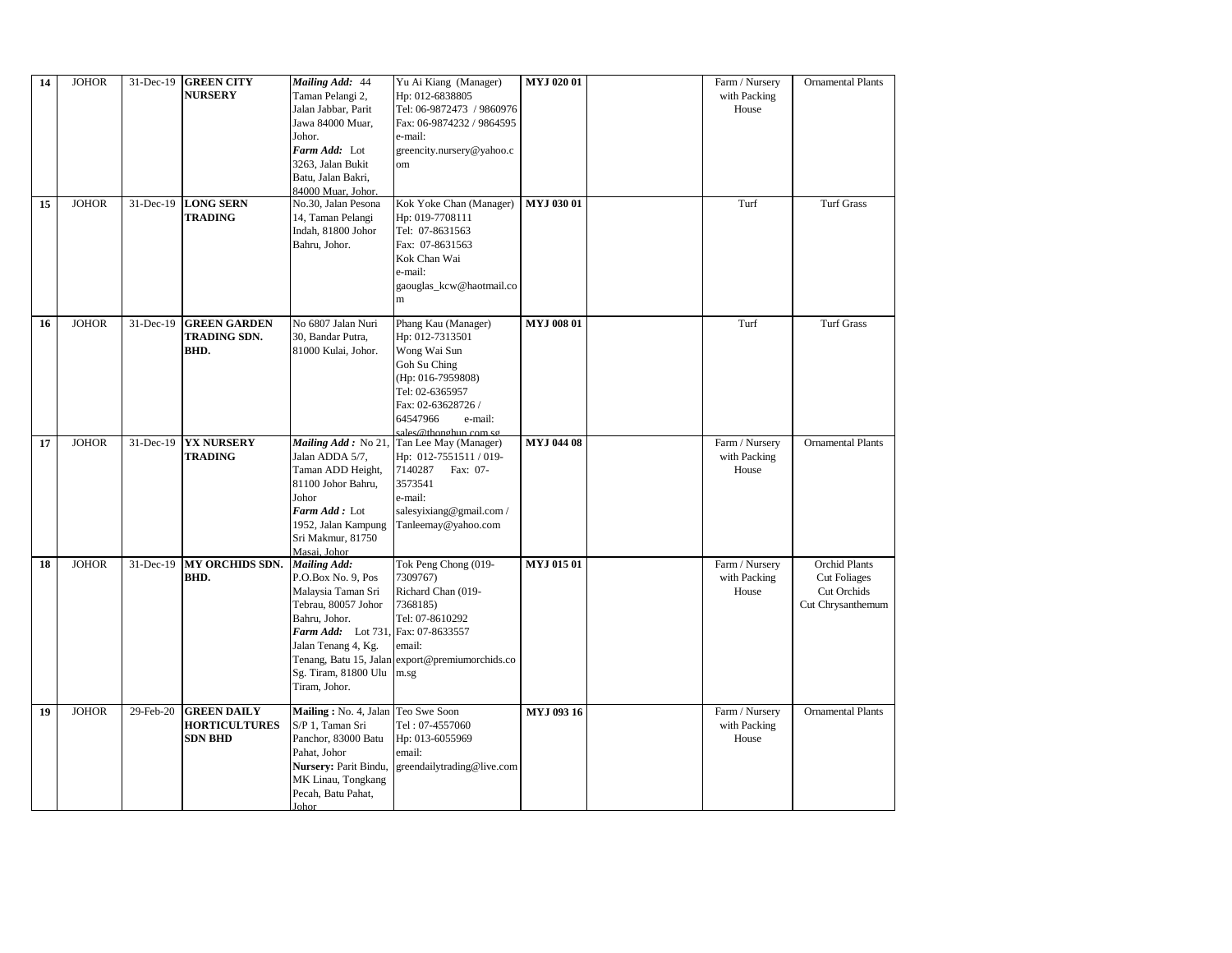| 14 | <b>JOHOR</b> |               | 31-Dec-19 GREEN CITY   | Mailing Add: 44                          | Yu Ai Kiang (Manager)                           | <b>MYJ 020 01</b> | Farm / Nursery | <b>Ornamental Plants</b> |
|----|--------------|---------------|------------------------|------------------------------------------|-------------------------------------------------|-------------------|----------------|--------------------------|
|    |              |               | <b>NURSERY</b>         | Taman Pelangi 2,                         | Hp: 012-6838805                                 |                   | with Packing   |                          |
|    |              |               |                        | Jalan Jabbar, Parit                      | Tel: 06-9872473 / 9860976                       |                   | House          |                          |
|    |              |               |                        | Jawa 84000 Muar,                         | Fax: 06-9874232 / 9864595                       |                   |                |                          |
|    |              |               |                        | Johor.                                   | e-mail:                                         |                   |                |                          |
|    |              |               |                        | Farm Add: Lot                            | greencity.nursery@yahoo.c                       |                   |                |                          |
|    |              |               |                        | 3263, Jalan Bukit                        | om                                              |                   |                |                          |
|    |              |               |                        | Batu, Jalan Bakri,<br>84000 Muar, Johor. |                                                 |                   |                |                          |
| 15 | <b>JOHOR</b> | 31-Dec-19     | <b>LONG SERN</b>       | No.30, Jalan Pesona                      | Kok Yoke Chan (Manager)                         | MYJ 030 01        | Turf           | <b>Turf Grass</b>        |
|    |              |               | <b>TRADING</b>         | 14, Taman Pelangi                        | Hp: 019-7708111                                 |                   |                |                          |
|    |              |               |                        | Indah, 81800 Johor                       | Tel: 07-8631563                                 |                   |                |                          |
|    |              |               |                        | Bahru, Johor.                            | Fax: 07-8631563                                 |                   |                |                          |
|    |              |               |                        |                                          | Kok Chan Wai                                    |                   |                |                          |
|    |              |               |                        |                                          | e-mail:                                         |                   |                |                          |
|    |              |               |                        |                                          | gaouglas_kcw@haotmail.co                        |                   |                |                          |
|    |              |               |                        |                                          | m                                               |                   |                |                          |
| 16 | <b>JOHOR</b> | $31 - Dec-19$ | <b>GREEN GARDEN</b>    | No 6807 Jalan Nuri                       | Phang Kau (Manager)                             | <b>MYJ 008 01</b> | Turf           | <b>Turf Grass</b>        |
|    |              |               | TRADING SDN.           | 30, Bandar Putra,                        | Hp: 012-7313501                                 |                   |                |                          |
|    |              |               | BHD.                   | 81000 Kulai, Johor.                      | Wong Wai Sun                                    |                   |                |                          |
|    |              |               |                        |                                          | Goh Su Ching                                    |                   |                |                          |
|    |              |               |                        |                                          | (Hp: 016-7959808)                               |                   |                |                          |
|    |              |               |                        |                                          | Tel: 02-6365957                                 |                   |                |                          |
|    |              |               |                        |                                          | Fax: 02-63628726 /<br>64547966<br>e-mail:       |                   |                |                          |
|    |              |               |                        |                                          | sales@thonghun.com.sg                           |                   |                |                          |
| 17 | <b>JOHOR</b> | 31-Dec-19     | <b>YX NURSERY</b>      |                                          | Mailing Add: No 21, Tan Lee May (Manager)       | <b>MYJ 044 08</b> | Farm / Nursery | <b>Ornamental Plants</b> |
|    |              |               | <b>TRADING</b>         | Jalan ADDA 5/7,                          | Hp: 012-7551511 / 019-                          |                   | with Packing   |                          |
|    |              |               |                        | Taman ADD Height,                        | 7140287<br>Fax: 07-                             |                   | House          |                          |
|    |              |               |                        | 81100 Johor Bahru,                       | 3573541                                         |                   |                |                          |
|    |              |               |                        | Johor                                    | e-mail:                                         |                   |                |                          |
|    |              |               |                        | Farm Add : Lot                           | salesyixiang@gmail.com/                         |                   |                |                          |
|    |              |               |                        | 1952, Jalan Kampung                      | Tanleemay@yahoo.com                             |                   |                |                          |
|    |              |               |                        | Sri Makmur, 81750<br>Masai, Johor        |                                                 |                   |                |                          |
| 18 | <b>JOHOR</b> | 31-Dec-19     | <b>MY ORCHIDS SDN.</b> | Mailing Add:                             | Tok Peng Chong (019-                            | MYJ 015 01        | Farm / Nursery | <b>Orchid Plants</b>     |
|    |              |               | BHD.                   | P.O.Box No. 9, Pos                       | 7309767)                                        |                   | with Packing   | <b>Cut Foliages</b>      |
|    |              |               |                        | Malaysia Taman Sri                       | Richard Chan (019-                              |                   | House          | Cut Orchids              |
|    |              |               |                        | Tebrau, 80057 Johor                      | 7368185)                                        |                   |                | Cut Chrysanthemum        |
|    |              |               |                        | Bahru, Johor.                            | Tel: 07-8610292                                 |                   |                |                          |
|    |              |               |                        | Farm Add: Lot 731, Fax: 07-8633557       |                                                 |                   |                |                          |
|    |              |               |                        | Jalan Tenang 4, Kg.                      | email:                                          |                   |                |                          |
|    |              |               |                        |                                          | Tenang, Batu 15, Jalan export@premiumorchids.co |                   |                |                          |
|    |              |               |                        | Sg. Tiram, 81800 Ulu   m.sg              |                                                 |                   |                |                          |
|    |              |               |                        | Tiram, Johor.                            |                                                 |                   |                |                          |
| 19 | <b>JOHOR</b> | 29-Feb-20     | <b>GREEN DAILY</b>     | Mailing: No. 4, Jalan Teo Swe Soon       |                                                 | MYJ 093 16        | Farm / Nursery | <b>Ornamental Plants</b> |
|    |              |               | <b>HORTICULTURES</b>   | S/P 1, Taman Sri                         | Tel: 07-4557060                                 |                   | with Packing   |                          |
|    |              |               | <b>SDN BHD</b>         | Panchor, 83000 Batu                      | Hp: 013-6055969                                 |                   | House          |                          |
|    |              |               |                        | Pahat, Johor                             | email:                                          |                   |                |                          |
|    |              |               |                        | Nursery: Parit Bindu,                    | greendailytrading@live.com                      |                   |                |                          |
|    |              |               |                        | MK Linau, Tongkang                       |                                                 |                   |                |                          |
|    |              |               |                        | Pecah, Batu Pahat,<br><b>Johor</b>       |                                                 |                   |                |                          |
|    |              |               |                        |                                          |                                                 |                   |                |                          |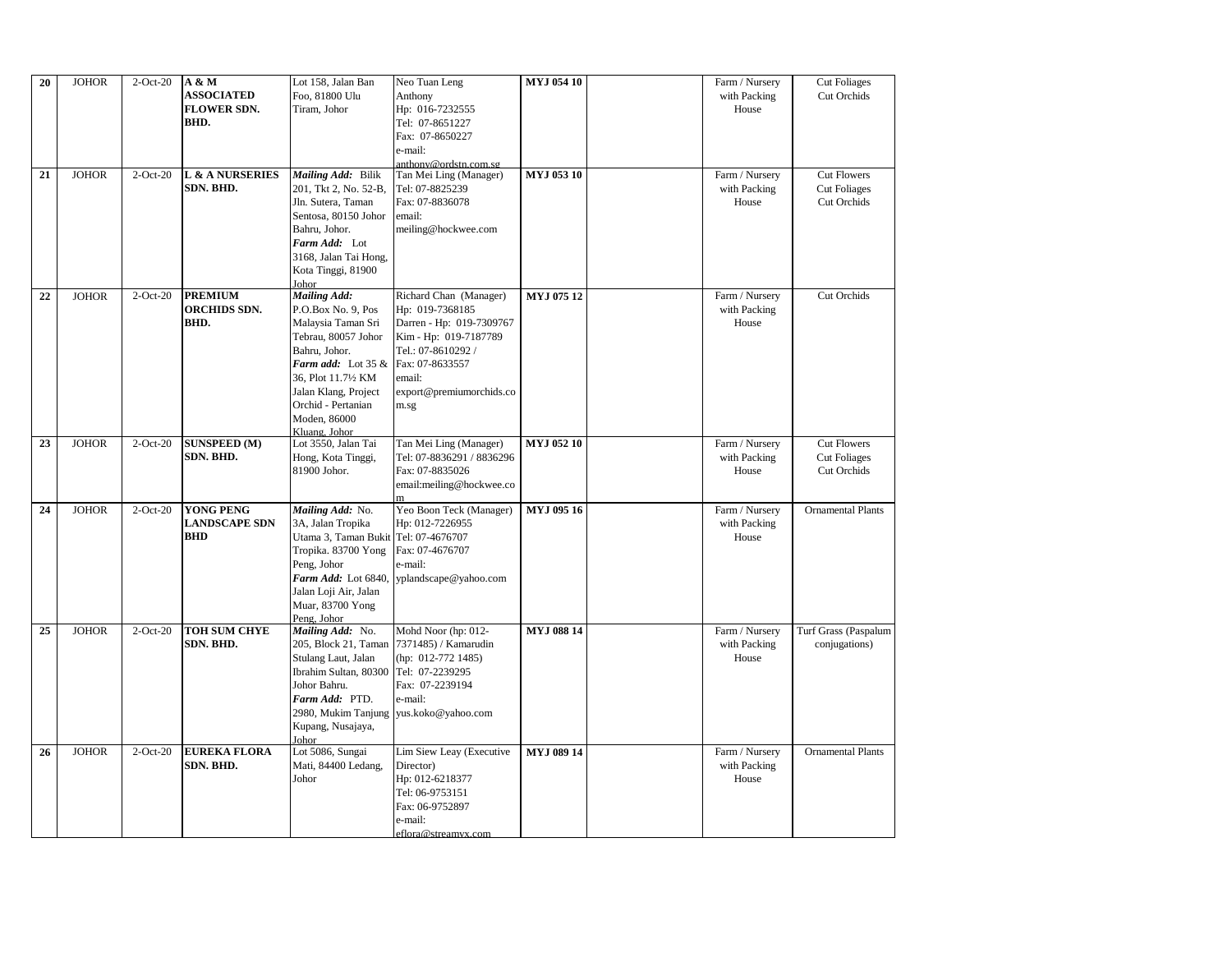| 20 | <b>JOHOR</b> | $2$ -Oct-20 | A & M                      | Lot 158, Jalan Ban                          | Neo Tuan Leng                             | MYJ 054 10        | Farm / Nursery                 | <b>Cut Foliages</b>      |
|----|--------------|-------------|----------------------------|---------------------------------------------|-------------------------------------------|-------------------|--------------------------------|--------------------------|
|    |              |             | <b>ASSOCIATED</b>          | Foo, 81800 Ulu                              | Anthony                                   |                   | with Packing                   | Cut Orchids              |
|    |              |             | <b>FLOWER SDN.</b>         | Tiram, Johor                                | Hp: 016-7232555                           |                   | House                          |                          |
|    |              |             | BHD.                       |                                             | Tel: 07-8651227                           |                   |                                |                          |
|    |              |             |                            |                                             | Fax: 07-8650227                           |                   |                                |                          |
|    |              |             |                            |                                             | e-mail:                                   |                   |                                |                          |
|    | <b>JOHOR</b> |             | <b>L &amp; A NURSERIES</b> |                                             | anthony@ordstn.com.sg                     | MYJ 053 10        |                                | <b>Cut Flowers</b>       |
| 21 |              | $2$ -Oct-20 | SDN. BHD.                  | Mailing Add: Bilik<br>201, Tkt 2, No. 52-B, | Tan Mei Ling (Manager)<br>Tel: 07-8825239 |                   | Farm / Nursery<br>with Packing | <b>Cut Foliages</b>      |
|    |              |             |                            | Jln. Sutera, Taman                          | Fax: 07-8836078                           |                   | House                          | Cut Orchids              |
|    |              |             |                            | Sentosa, 80150 Johor                        | email:                                    |                   |                                |                          |
|    |              |             |                            | Bahru, Johor.                               | meiling@hockwee.com                       |                   |                                |                          |
|    |              |             |                            | Farm Add: Lot                               |                                           |                   |                                |                          |
|    |              |             |                            | 3168, Jalan Tai Hong,                       |                                           |                   |                                |                          |
|    |              |             |                            | Kota Tinggi, 81900                          |                                           |                   |                                |                          |
|    |              |             |                            | Johor                                       |                                           |                   |                                |                          |
| 22 | <b>JOHOR</b> | $2$ -Oct-20 | <b>PREMIUM</b>             | Mailing Add:                                | Richard Chan (Manager)                    | MYJ 075 12        | Farm / Nursery                 | Cut Orchids              |
|    |              |             | <b>ORCHIDS SDN.</b>        | P.O.Box No. 9, Pos                          | Hp: 019-7368185                           |                   | with Packing                   |                          |
|    |              |             | BHD.                       | Malaysia Taman Sri                          | Darren - Hp: 019-7309767                  |                   | House                          |                          |
|    |              |             |                            | Tebrau, 80057 Johor                         | Kim - Hp: 019-7187789                     |                   |                                |                          |
|    |              |             |                            | Bahru, Johor.                               | Tel.: 07-8610292 /                        |                   |                                |                          |
|    |              |             |                            | Farm add: Lot 35 &<br>36, Plot 11.71/2 KM   | Fax: 07-8633557<br>email:                 |                   |                                |                          |
|    |              |             |                            | Jalan Klang, Project                        | export@premiumorchids.co                  |                   |                                |                          |
|    |              |             |                            | Orchid - Pertanian                          | m.sg                                      |                   |                                |                          |
|    |              |             |                            | Moden, 86000                                |                                           |                   |                                |                          |
|    |              |             |                            | Kluang, Johor                               |                                           |                   |                                |                          |
| 23 | <b>JOHOR</b> | $2$ -Oct-20 | <b>SUNSPEED (M)</b>        | Lot 3550, Jalan Tai                         | Tan Mei Ling (Manager)                    | <b>MYJ 052 10</b> | Farm / Nursery                 | <b>Cut Flowers</b>       |
|    |              |             | SDN. BHD.                  | Hong, Kota Tinggi,                          | Tel: 07-8836291 / 8836296                 |                   | with Packing                   | <b>Cut Foliages</b>      |
|    |              |             |                            | 81900 Johor.                                | Fax: 07-8835026                           |                   | House                          | Cut Orchids              |
|    |              |             |                            |                                             | email:meiling@hockwee.co                  |                   |                                |                          |
| 24 | <b>JOHOR</b> | $2$ -Oct-20 | YONG PENG                  | Mailing Add: No.                            | Yeo Boon Teck (Manager)                   | MYJ 095 16        | Farm / Nursery                 | <b>Ornamental Plants</b> |
|    |              |             | <b>LANDSCAPE SDN</b>       | 3A, Jalan Tropika                           | Hp: 012-7226955                           |                   | with Packing                   |                          |
|    |              |             | <b>BHD</b>                 | Utama 3, Taman Bukit Tel: 07-4676707        |                                           |                   | House                          |                          |
|    |              |             |                            | Tropika. 83700 Yong                         | Fax: 07-4676707                           |                   |                                |                          |
|    |              |             |                            | Peng, Johor                                 | e-mail:                                   |                   |                                |                          |
|    |              |             |                            | Farm Add: Lot 6840,                         | yplandscape@yahoo.com                     |                   |                                |                          |
|    |              |             |                            | Jalan Loji Air, Jalan                       |                                           |                   |                                |                          |
|    |              |             |                            | Muar, 83700 Yong                            |                                           |                   |                                |                          |
| 25 | <b>JOHOR</b> | $2$ -Oct-20 | TOH SUM CHYE               | Peng, Johor<br>Mailing Add: No.             | Mohd Noor (hp: 012-                       | <b>MYJ 088 14</b> | Farm / Nursery                 | Turf Grass (Paspalum     |
|    |              |             | SDN. BHD.                  | 205, Block 21, Taman                        | 7371485) / Kamarudin                      |                   | with Packing                   | conjugations)            |
|    |              |             |                            | Stulang Laut, Jalan                         | (hp: 012-772 1485)                        |                   | House                          |                          |
|    |              |             |                            | Ibrahim Sultan, 80300                       | Tel: 07-2239295                           |                   |                                |                          |
|    |              |             |                            | Johor Bahru.                                | Fax: 07-2239194                           |                   |                                |                          |
|    |              |             |                            | Farm Add: PTD.                              | e-mail:                                   |                   |                                |                          |
|    |              |             |                            | 2980, Mukim Tanjung                         | yus.koko@yahoo.com                        |                   |                                |                          |
|    |              |             |                            | Kupang, Nusajaya,                           |                                           |                   |                                |                          |
| 26 | <b>JOHOR</b> | $2$ -Oct-20 | <b>EUREKA FLORA</b>        | Johor<br>Lot 5086, Sungai                   | Lim Siew Leay (Executive                  | <b>MYJ 089 14</b> | Farm / Nursery                 | <b>Ornamental Plants</b> |
|    |              |             | SDN. BHD.                  | Mati, 84400 Ledang,                         | Director)                                 |                   | with Packing                   |                          |
|    |              |             |                            | Johor                                       | Hp: 012-6218377                           |                   | House                          |                          |
|    |              |             |                            |                                             | Tel: 06-9753151                           |                   |                                |                          |
|    |              |             |                            |                                             | Fax: 06-9752897                           |                   |                                |                          |
|    |              |             |                            |                                             | e-mail:                                   |                   |                                |                          |
|    |              |             |                            |                                             | eflora@streamvx.com                       |                   |                                |                          |